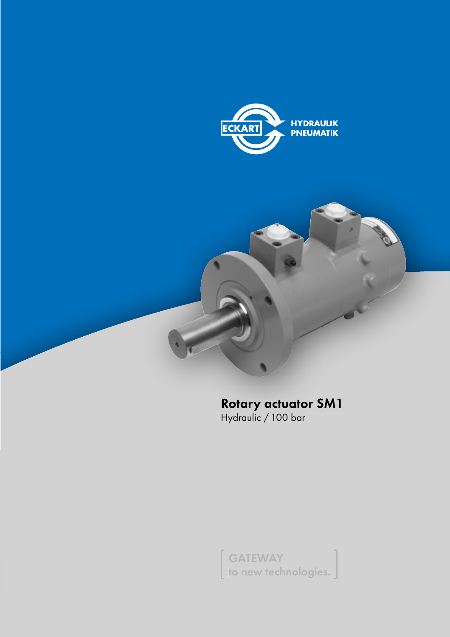



to new tech to new technologies.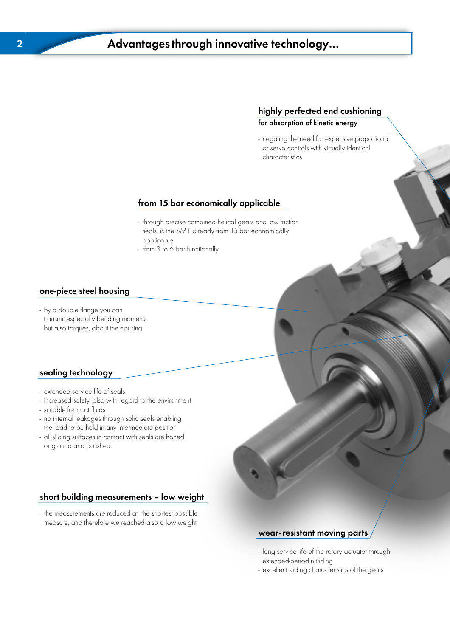## <u>of the custom controller the custom of the custom of kinetic energy</u>

- negating the need for expensive proportional or servo controls with virtually identical characteristics

### from 15 bar economically applicable

- through precise combined helical gears and low friction seals, is the SM1 already from 15 bar economically applicable
- from 3 to 6 bar functionally

### one-piece steel housing

- by a double flange you can transmit especially bending moments, but also torques, about the housing

### sealing technology

- extended service life of seals
- increased safety, also with regard to the environment
- suitable for most fluids
- no internal leakages through solid seals enabling the load to be held in any intermediate position
- all sliding surfaces in contact with seals are honed or ground and polished

### short building measurements – low weight

- the measurements are reduced at the shortest possible measure, and therefore we reached also a low weight

### wear-resistant moving parts

- long service life of the rotary actuator through extended-period nitriding
- excellent sliding characteristics of the gears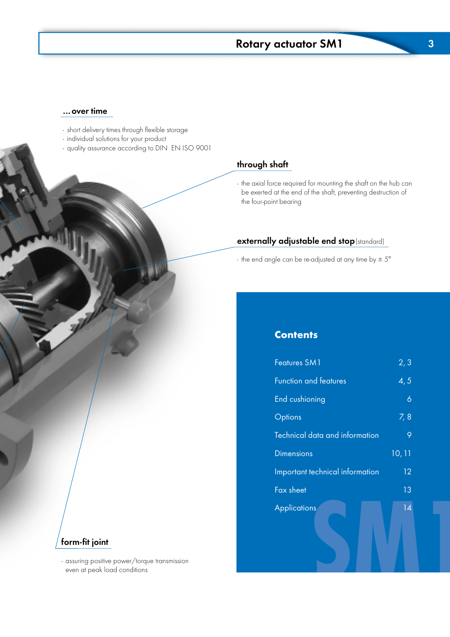# $\frac{1}{\sqrt{2}}$  schweizer SM1  $\frac{1}{\sqrt{2}}$  and  $\frac{1}{\sqrt{2}}$  and  $\frac{1}{\sqrt{2}}$  and  $\frac{1}{\sqrt{2}}$  and  $\frac{1}{\sqrt{2}}$  and  $\frac{1}{\sqrt{2}}$  and  $\frac{1}{\sqrt{2}}$  and  $\frac{1}{\sqrt{2}}$  and  $\frac{1}{\sqrt{2}}$  and  $\frac{1}{\sqrt{2}}$  and  $\frac{1}{\sqrt{2}}$  and  $\frac{1}{\$

### …over time

- short delivery times through flexible storage
- individual solutions for your product
- quality assurance according to DIN EN ISO 9001

### through shaft

- the axial force required for mounting the shaft on the hub can be exerted at the end of the shaft, preventing destruction of the four-point bearing

### externally adjustable end stop(standard)

- the end angle can be re-adjusted at any time by  $\pm 5^{\circ}$ 

### **Contents**

| <b>Features SM1</b>             | 2, 3           |  |
|---------------------------------|----------------|--|
| Function and features           | 4, 5           |  |
| End cushioning                  | $\ddot{\circ}$ |  |
| <b>Options</b>                  | 7,8            |  |
| Technical data and information  | 9              |  |
| <b>Dimensions</b>               | 10, 11         |  |
| Important technical information | 12             |  |
| Fax sheet                       | 13             |  |
| <b>Applications</b>             | 14             |  |
|                                 |                |  |
|                                 |                |  |

### form-fit joint

- assuring positive power/torque transmission even at peak load conditions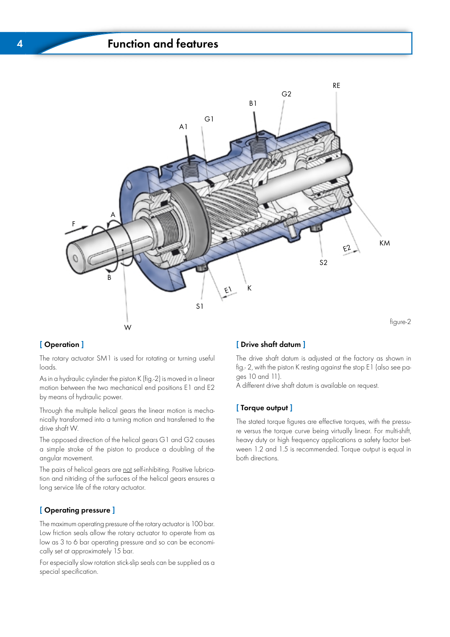## $\overline{\phantom{a}}$   $\overline{\phantom{a}}$   $\overline{\phantom{a}}$   $\overline{\phantom{a}}$   $\overline{\phantom{a}}$   $\overline{\phantom{a}}$   $\overline{\phantom{a}}$   $\overline{\phantom{a}}$   $\overline{\phantom{a}}$   $\overline{\phantom{a}}$   $\overline{\phantom{a}}$   $\overline{\phantom{a}}$   $\overline{\phantom{a}}$   $\overline{\phantom{a}}$   $\overline{\phantom{a}}$   $\overline{\phantom{a}}$   $\overline{\phantom{a}}$   $\overline{\phantom{a}}$   $\overline{\$



### [ Operation ]

The rotary actuator SM1 is used for rotating or turning useful loads.

As in a hydraulic cylinder the piston K (fig.-2) is moved in a linear motion between the two mechanical end positions E1 and E2 by means of hydraulic power.

Through the multiple helical gears the linear motion is mechanically transformed into a turning motion and transferred to the drive shaft W.

The opposed direction of the helical gears G1 and G2 causes a simple stroke of the piston to produce a doubling of the angular movement.

The pairs of helical gears are not self-inhibiting. Positive lubrication and nitriding of the surfaces of the helical gears ensures a long service life of the rotary actuator.

### [ Operating pressure ]

The maximum operating pressure of the rotary actuator is 100 bar. Low friction seals allow the rotary actuator to operate from as low as 3 to 6 bar operating pressure and so can be economically set at approximately 15 bar.

For especially slow rotation stick-slip seals can be supplied as a special specification.

### [ Drive shaft datum ]

The drive shaft datum is adjusted at the factory as shown in fig.- 2, with the piston K resting against the stop E1 (also see pages 10 and 11).

A different drive shaft datum is available on request.

### [ Torque output ]

The stated torque figures are effective torques, with the pressure versus the torque curve being virtually linear. For multi-shift, heavy duty or high frequency applications a safety factor between 1.2 and 1.5 is recommended. Torque output is equal in both directions.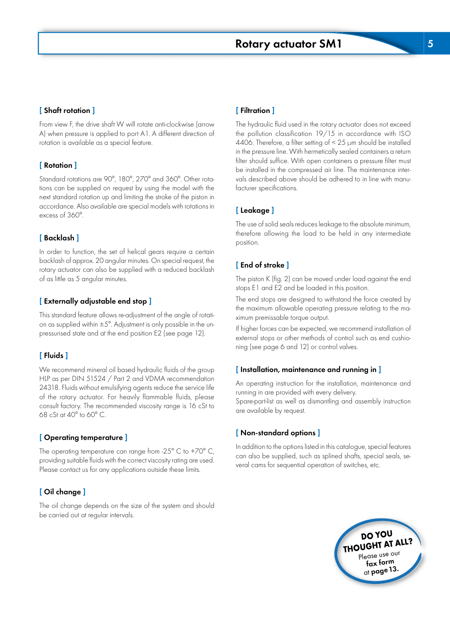

## [ Shaft rotation ]

From view F, the drive shaft W will rotate anti-clockwise (arrow A) when pressure is applied to port A1. A different direction of rotation is available as a special feature.

## [ Rotation ]

Standard rotations are 90°, 180°, 270° and 360°. Other rotations can be supplied on request by using the model with the next standard rotation up and limiting the stroke of the piston in accordance. Also available are special models with rotations in excess of 360°.

### $\mathbf{r}$  backlash  $\mathbf{r}$

In order to function, the set of helical gears require a certain backlash of approx. 20 angular minutes. On special request, the rotary actuator can also be supplied with a reduced backlash of as little as 5 angular minutes.

### [ Externally adjustable end stop ]

This standard feature allows re-adjustment of the angle of rotation as supplied within  $\pm 5^{\circ}$ . Adjustment is only possible in the unpressurised state and at the end position E2 (see page 12).

### [ Fluids ]

We recommend mineral oil based hydraulic fluids of the group HLP as per DIN 51524 / Part 2 and VDMA recommendation 24318. Fluids without emulsifying agents reduce the service life of the rotary actuator. For heavily flammable fluids, please consult factory. The recommended viscosity range is 16 cSt to 68 cSt at  $40^{\circ}$  to 60 $^{\circ}$  C.

### [ Operating temperature ]

The operating temperature can range from -25 $^{\circ}$  C to +70 $^{\circ}$  C, providing suitable fluids with the correct viscosity rating are used. Please contact us for any applications outside these limits.

### [ Oil change ]

The oil change depends on the size of the system and should be carried out at regular intervals.

### [ Filtration ]

The hydraulic fluid used in the rotary actuator does not exceed the pollution classification 19/15 in accordance with ISO 4406. Therefore, a filter setting of < 25 µm should be installed in the pressure line. With hermetically sealed containers a return filter should suffice. With open containers a pressure filter must be installed in the compressed air line. The maintenance intervals described above should be adhered to in line with manufacturer specifications.

#### [ Leakage ]

The use of solid seals reduces leakage to the absolute minimum, therefore allowing the load to be held in any intermediate position.

### [ End of stroke ]

The piston K (fig. 2) can be moved under load against the end stops E1 and E2 and be loaded in this position.

The end stops are designed to withstand the force created by the maximum allowable operating pressure relating to the maximum premissable torque output.

If higher forces can be expected, we recommend installation of external stops or other methods of control such as end cushioning (see page 6 and 12) or control valves.

### $\mathbf{I}$  installation, maintenance and running in  $\mathbf{I}$

An operating instruction for the installation, maintenance and running in are provided with every delivery.

Spare-part-list as well as dismantling and assembly instruction are available by request.

#### [ Non-standard options ]

In addition to the options listed in this catalogue, special features can also be supplied, such as splined shafts, special seals, several cams for sequential operation of switches, etc.

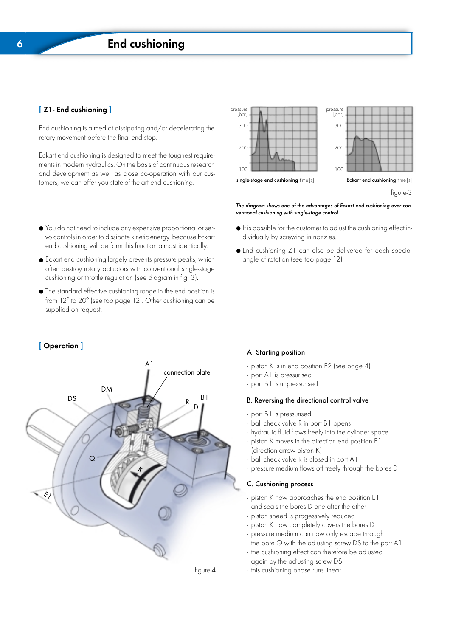### [ Z1- End cushioning ]

End cushioning is aimed at dissipating and/or decelerating the rotary movement before the final end stop.

Eckart end cushioning is designed to meet the toughest requirements in modern hydraulics. On the basis of continuous research and development as well as close co-operation with our customers, we can offer you state-of-the-art end cushioning.

- You do not need to include any expensive proportional or servo controls in order to dissipate kinetic energy, because Eckart end cushioning will perform this function almost identically.
- Eckart end cushioning largely prevents pressure peaks, which often destroy rotary actuators with conventional single-stage cushioning or throttle regulation (see diagram in fig. 3).
- The standard effective cushioning range in the end position is from 12° to 20° (see too page 12). Other cushioning can be supplied on request.



figure-4



The diagram shows one of the advantages of Eckart end cushioning over conventional cushioning with single-stage control

- It is possible for the customer to adjust the cushioning effect individually by screwing in nozzles.
- End cushioning Z1 can also be delivered for each special angle of rotation (see too page 12).

### [ Operation ] **A. Starting position**

- piston K is in end position E2 (see page 4)
- port A1 is pressurised
- port B1 is unpressurised

#### B. Reversing the directional control valve

- port B1 is pressurised
- ball check valve R in port B1 opens
- hydraulic fluid flows freely into the cylinder space
- piston K moves in the direction end position E1 (direction arrow piston K)
- ball check valve R is closed in port A1
- pressure medium flows off freely through the bores D

### C. Cushioning process

- piston K now approaches the end position E1 and seals the bores D one after the other
- piston speed is progessively reduced
- piston K now completely covers the bores D
- pressure medium can now only escape through the bore Q with the adjusting screw DS to the port A1
- the cushioning effect can therefore be adjusted again by the adjusting screw DS
- this cushioning phase runs linear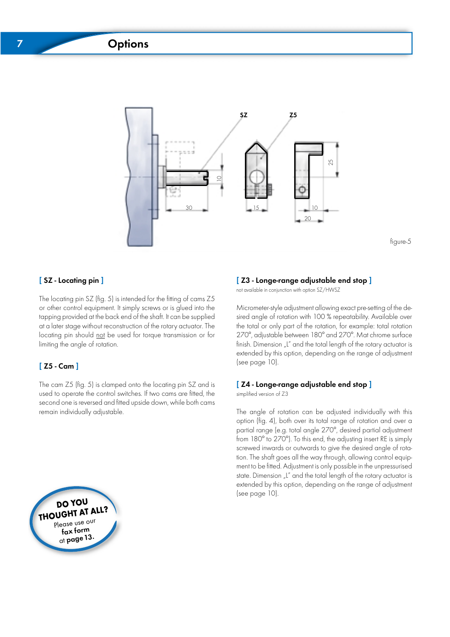# 7 Options Schwenkmotor PSM



figure-5

### [SZ - Locating pin ]

The locating pin SZ (fig. 5) is intended for the fitting of cams Z5 or other control equipment. It simply screws or is glued into the tapping provided at the back end of the shaft. It can be supplied at a later stage without reconstruction of the rotary actuator. The locating pin should not be used for torque transmission or for limiting the angle of rotation.

### [ Z5 - Cam ]

The cam Z5 (fig. 5) is clamped onto the locating pin SZ and is used to operate the control switches. If two cams are fitted, the second one is reversed and fitted upside down, while both cams remain individually adjustable.



range-range-range-range-range-range-range-range-<br>not available in conjunction with option SZ/HWSZ

Micrometer-style adjustment allowing exact pre-setting of the desired angle of rotation with 100 % repeatability. Available over the total or only part of the rotation, for example: total rotation 270°, adjustable between 180° and 270°. Mat chrome surface finish. Dimension "L" and the total length of the rotary actuator is extended by this option, depending on the range of adjustment (see page 10).

[ Z4 - Longe-range adjustable end stop ] simplified version of Z3

The angle of rotation can be adjusted individually with this option (fig. 4), both over its total range of rotation and over a partial range (e.g. total angle 270°, desired partial adjustment from 180° to 270°). To this end, the adjusting insert RE is simply screwed inwards or outwards to give the desired angle of rotation. The shaft goes all the way through, allowing control equipment to be fitted. Adjustment is only possible in the unpressurised state. Dimension "L" and the total length of the rotary actuator is extended by this option, depending on the range of adjustment (see page 10).

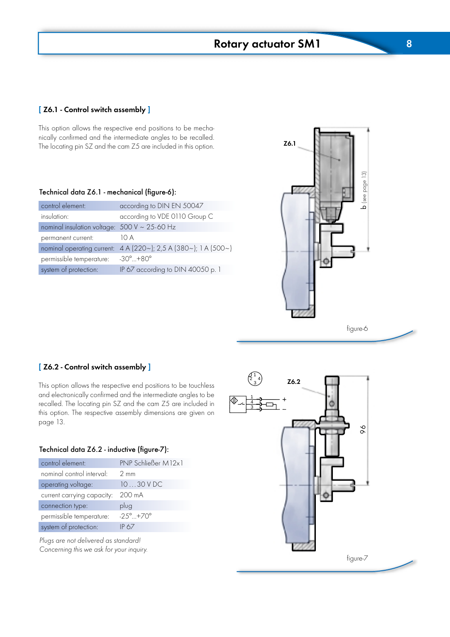[Z6.1 - Control switch assembly ]

This option allows the respective end positions to be mechanically confirmed and the intermediate angles to be recalled. The locating pin SZ and the cam Z5 are included in this option.

#### Technical data Z6.1 - mechanical (figure-6):

| control element:                                                         | according to DIN EN 50047            |  |  |  |  |  |  |  |  |  |  |
|--------------------------------------------------------------------------|--------------------------------------|--|--|--|--|--|--|--|--|--|--|
| insulation:                                                              | according to VDE 0110 Group C        |  |  |  |  |  |  |  |  |  |  |
| nominal insulation voltage: $500 \text{ V} \sim 25\text{-}60 \text{ Hz}$ |                                      |  |  |  |  |  |  |  |  |  |  |
| permanent current:                                                       | 10 A                                 |  |  |  |  |  |  |  |  |  |  |
| nominal operating current:                                               | 4 A (220~); 2,5 A (380~); 1 A (500~) |  |  |  |  |  |  |  |  |  |  |
| permissible temperature:                                                 | $-30^{\circ}$ $+80^{\circ}$          |  |  |  |  |  |  |  |  |  |  |
| system of protection:                                                    | IP 67 according to DIN 40050 p. 1    |  |  |  |  |  |  |  |  |  |  |



#### [ Z6.2 - Control switch assembly ]

This option allows the respective end positions to be touchless and electronically confirmed and the intermediate angles to be recalled. The locating pin SZ and the cam Z5 are included in this option. The respective assembly dimensions are given on page 13.

#### Technical data Z6.2 - inductive (figure-7):

| control element:           | PNP Schließer M12x1          |
|----------------------------|------------------------------|
| nominal control interval:  | $2 \text{ mm}$               |
| operating voltage:         | $1030$ V DC                  |
| current carrying capacity: | 200 mA                       |
| connection type:           | plug                         |
| permissible temperature:   | $-25^{\circ}$ +70 $^{\circ}$ |
| system of protection:      | IP 67                        |

Plugs are not delivered as standard! Concerning this we ask for your inquiry.

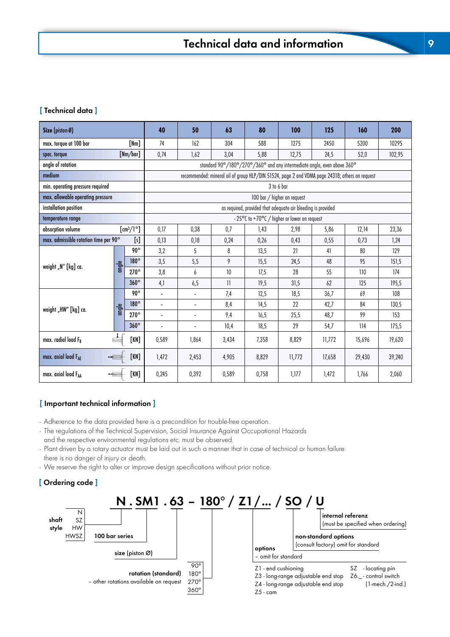### [ Technical data ]

| Size (piston-Ø)                             |       |                                           | 40                                                           | 50                       | 63                                                                                             | 80    | 100                                          | 125    | 160    | 200    |  |  |  |  |  |  |  |
|---------------------------------------------|-------|-------------------------------------------|--------------------------------------------------------------|--------------------------|------------------------------------------------------------------------------------------------|-------|----------------------------------------------|--------|--------|--------|--|--|--|--|--|--|--|
| max. torque at 100 bar                      |       | [Nm]                                      | 74                                                           | 162                      | 304                                                                                            | 588   | 1275                                         | 2450   | 5200   | 10295  |  |  |  |  |  |  |  |
| spec. torque                                |       | [Mm/bar]                                  | 0,74                                                         | 1,62                     | 3,04                                                                                           | 5,88  | 12,75                                        | 24,5   | 52,0   | 102,95 |  |  |  |  |  |  |  |
| angle of rotation                           |       |                                           |                                                              |                          | standard 90°/180°/270°/360° and any intermediate angle, even above 360°                        |       |                                              |        |        |        |  |  |  |  |  |  |  |
| medium                                      |       |                                           |                                                              |                          | recommended: mineral oil of group HLP/DIN 51524, page 2 and VDMA page 24318; others on request |       |                                              |        |        |        |  |  |  |  |  |  |  |
| min. operating pressure required            |       |                                           | 3 to 6 bar                                                   |                          |                                                                                                |       |                                              |        |        |        |  |  |  |  |  |  |  |
| max. allowable operating pressure           |       |                                           |                                                              |                          |                                                                                                |       | 100 bar / higher on request                  |        |        |        |  |  |  |  |  |  |  |
| installation position                       |       |                                           | as required, provided that adequate air bleeding is provided |                          |                                                                                                |       |                                              |        |        |        |  |  |  |  |  |  |  |
| temperature range                           |       |                                           |                                                              |                          |                                                                                                |       | - 25°C to +70°C / higher or lower on request |        |        |        |  |  |  |  |  |  |  |
| absorption volume                           |       | $\left[\text{cm}^3/\text{1}^\circ\right]$ | 0,17                                                         | 0,38                     | 0,7                                                                                            | 1,43  | 2,98                                         | 5,86   | 12,14  | 23,36  |  |  |  |  |  |  |  |
| max. admissible rotation time per 90°       |       | [s]                                       | 0,13                                                         | 0,18                     | 0,24                                                                                           | 0,26  | 0,43                                         | 0,55   | 0,73   | 1,24   |  |  |  |  |  |  |  |
|                                             |       | $90^\circ$                                | 3,2                                                          | 5                        | 8                                                                                              | 13,5  | 21                                           | 41     | 80     | 129    |  |  |  |  |  |  |  |
|                                             | angle | 180°                                      | 3,5                                                          | 5,5                      | 9                                                                                              | 15,5  | 24,5                                         | 48     | 95     | 151,5  |  |  |  |  |  |  |  |
|                                             |       | $270^\circ$                               | 3,8                                                          | 6                        | 10 <sup>°</sup>                                                                                | 17.5  | 28                                           | 55     | 110    | 174    |  |  |  |  |  |  |  |
|                                             |       | $360^\circ$                               | 4,1                                                          | 6,5                      | 11                                                                                             | 19,5  | 31,5                                         | 62     | 125    | 195,5  |  |  |  |  |  |  |  |
|                                             |       | $90^{\circ}$                              | $\blacksquare$                                               | $\overline{\phantom{a}}$ | 7,4                                                                                            | 12,5  | 18,5                                         | 36,7   | 69     | 108    |  |  |  |  |  |  |  |
|                                             | angle | 180°                                      | $\blacksquare$                                               | $\blacksquare$           | 8,4                                                                                            | 14,5  | 22                                           | 42,7   | 84     | 130,5  |  |  |  |  |  |  |  |
| weight "N" [kg] ca.<br>weight "HW" [kg] ca. |       | $270^\circ$                               | $\sim$                                                       | L,                       | 9,4                                                                                            | 16,5  | 25,5                                         | 48,7   | 99     | 153    |  |  |  |  |  |  |  |
|                                             |       | $360^\circ$                               | $\blacksquare$                                               | L,                       | 10.4                                                                                           | 18,5  | 29                                           | 54,7   | 114    | 175.5  |  |  |  |  |  |  |  |
| max. radial load FR                         |       | [KN]                                      | 0,589                                                        | 1,864                    | 3,434                                                                                          | 7,358 | 8,829                                        | 11,772 | 15,696 | 19,620 |  |  |  |  |  |  |  |
| max. axial load $F_{AF}$                    |       | [KN]                                      | 1,472                                                        | 2,453                    | 4,905                                                                                          | 8,829 | 11,772                                       | 17,658 | 29,430 | 39,240 |  |  |  |  |  |  |  |
| max. axial load FAA                         |       | [KN]                                      | 0,245                                                        | 0,392                    | 0,589                                                                                          | 0,758 | 1,177                                        | 1,472  | 1,766  | 2,060  |  |  |  |  |  |  |  |

#### [ Important technical information ]

- Adherence to the data provided here is a precondition for trouble-free operation.

- The regulations of the Technical Supervision, Social Insurance Against Occupational Hazards and the respective environmental regulations etc. must be observed.

- Plant driven by a rotary actuator must be laid out in such a manner that in case of technical or human failure there is no danger of injury or death.
- We reserve the right to alter or improve design specifications without prior notice.

### [ Ordering code ]

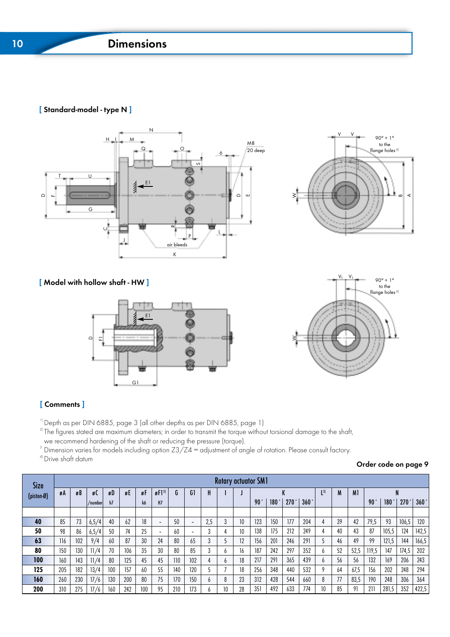### [ Standard-model - type N ]





[ Model with hollow shaft - HW ]





### [ Comments ]

 $^{11}$  Depth as per DIN 6885, page 3 (all other depths as per DIN 6885, page 1)

 $2^{\circ}$ The figures stated are maximum diameters; in order to transmit the torque without torsional damage to the shaft, we recommend hardening of the shaft or reducing the pressure (torque).

<sup>3</sup> Dimension varies for models including option Z3/Z4 = adjustment of angle of rotation. Please consult factory. <sup>4)</sup> Drive shaft datum

Order code on page 9

| <b>Size</b> |     |     |         |     |     |     |                          |                | <b>Rotary actuator SM1</b> |     |    |    |                 |      |      |      |                        |    |                |                 |       |       |       |
|-------------|-----|-----|---------|-----|-----|-----|--------------------------|----------------|----------------------------|-----|----|----|-----------------|------|------|------|------------------------|----|----------------|-----------------|-------|-------|-------|
| (piston-Ø)  | øА  | øB  | øl      | øD  | øE  | øF  | $g[1^2]$                 | $\bullet$<br>G | G1                         | H   |    |    |                 |      |      |      | $\lfloor$ <sup>3</sup> | M  | M <sub>1</sub> |                 |       |       |       |
|             |     |     | /number | h7  |     | k6  | H <sub>7</sub>           |                |                            |     |    |    | 90 <sup>°</sup> | 180° | 270° | 360° |                        |    |                | 90 <sup>°</sup> | 180°  | 270   | 360°  |
|             |     |     |         |     |     |     |                          |                |                            |     |    |    |                 |      |      |      |                        |    |                |                 |       |       |       |
| 40          | 85  | 73  | 6,5/4   | 40  | 62  | 18  | $\overline{\phantom{0}}$ | 50             | $\overline{\phantom{0}}$   | 2,5 | 3  | 10 | 123             | 150  | 177  | 204  | 4                      | 39 | 42             | 79,5            | 93    | 106,5 | 120   |
| 50          | 98  | 86  | 6,5/4   | 50  | 74  | 25  | $\sim$                   | 60             | $\overline{\phantom{0}}$   | 3   |    | 10 | 138             | 175  | 212  | 249  |                        | 40 | 43             | 87              | 105,5 | 124   | 142,5 |
| 63          | 116 | 102 | 9/4     | 60  | 87  | 30  | 24                       | 80             | 65                         | 3   |    | 12 | 156             | 201  | 246  | 291  |                        | 46 | 49             | 99              | 121,5 | 144   | 166,5 |
| 80          | 150 | 130 | 11/4    | 70  | 106 | 35  | 30                       | 80             | 85                         | 3   | b  | 16 | 187             | 242  | 297  | 352  | 6                      | 52 | 52,5           | 119,5           | 147   | 174,5 | 202   |
| 100         | 160 | 143 | 11/4    | 80  | 125 | 45  | 45                       | 110            | 102                        |     | h  | 18 | 217             | 291  | 365  | 439  | b                      | 56 | 56             | 132             | 169   | 206   | 243   |
| 125         | 205 | 182 | 13/4    | 100 | 157 | 60  | 55                       | 140            | 120                        |     |    | 18 | 256             | 348  | 440  | 532  | Q                      | 64 | 67,5           | 156             | 202   | 248   | 294   |
| 160         | 260 | 230 | 17/6    | 130 | 200 | 80  | 75                       | 170            | 150                        | b   | 8  | 23 | 312             | 428  | 544  | 660  | 8                      | 77 | 83,5           | 190             | 248   | 306   | 364   |
| 200         | 310 | 275 | 17/6    | 160 | 242 | 100 | 95                       | 210            | 173                        |     | 10 | 28 | 351             | 492  | 633  | 774  | 10                     | 85 | 91             | 211             | 281.5 | 352   | 422,5 |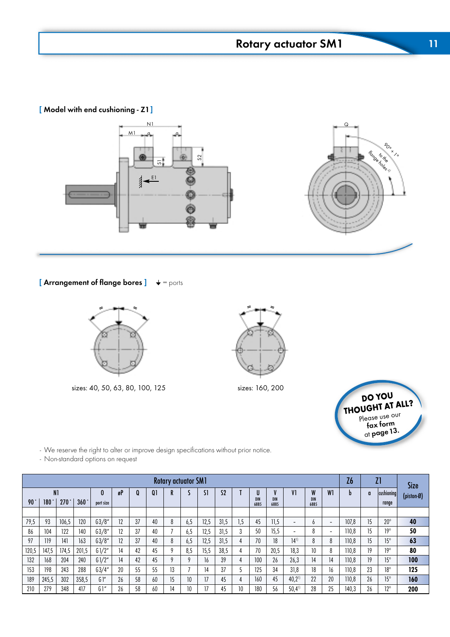# Schwenkmotor PSM Rotary actuator SM1 11

[ Model with end cushioning - Z1]



[ Arrangement of flange bores ]  $\quad \blacklozenge = \text{ports}$ 



sizes: 40, 50, 63, 80, 100, 125 sizes: 160, 200





- We reserve the right to alter or improve design specifications without prior notice.

- Non-standard options on request

|                 |                |       |       |              |                                                 |    |    | <b>Rotary actuator SM1</b> |     |      |      |     |          |                    |                          |                 |                | Z6    |    | Z1           | Size       |
|-----------------|----------------|-------|-------|--------------|-------------------------------------------------|----|----|----------------------------|-----|------|------|-----|----------|--------------------|--------------------------|-----------------|----------------|-------|----|--------------|------------|
|                 | N <sub>1</sub> |       |       | $\mathbf{0}$ | $\mathbf{0}$<br>C1<br>S <sub>2</sub><br>gP<br>Q |    |    |                            |     |      |      |     | u<br>DIN |                    | V1                       | W<br><b>DIN</b> | W <sub>1</sub> | b     | a  | cushioning   | (piston-Ø) |
| 90 <sup>°</sup> | 180            | 270   | 360°  | port size    |                                                 |    |    |                            |     |      |      |     | 6885     | <b>DIN</b><br>6885 |                          | 6885            |                |       |    | range        |            |
|                 |                |       |       |              |                                                 |    |    |                            |     |      |      |     |          |                    |                          |                 |                |       |    |              |            |
| 79,5            | 93             | 106,5 | 120   | 63/8''       | 12                                              | 37 | 40 |                            | 6.5 | 12,5 | 31.5 | 1,5 | 45       | 11.5               | $\overline{\phantom{0}}$ | b               | -              | 107.8 | 15 | $20^{\circ}$ | 40         |
| 86              | 104            | 122   | 140   | 63/8''       | 12                                              | 37 | 40 |                            | 6.5 | 12,5 | 31,5 | 3   | 50       | 15.5               | -                        | 8               |                | 110,8 | 15 | $19^\circ$   | 50         |
| 97              | 119            | 141   | 163   | 63/8''       | 12                                              | 37 | 40 |                            | 6,5 | 12,5 | 31,5 | 4   | 70       | 18                 | $14^{1}$                 | 8               |                | 110.8 | 15 | $15^{\circ}$ | 63         |
| 120,5           | 147,5          | 174,5 | 201,5 | G1/2''       | 14                                              | 42 | 45 |                            | 8.5 | 15,5 | 38,5 |     | 70       | 20,5               | 18,3                     | 10              |                | 110.8 | 19 | $19^\circ$   | 80         |
| 132             | 168            | 204   | 240   | G1/2''       | 14                                              | 42 | 45 |                            |     | 16   | 39   | 4   | 100      | 26                 | 26,3                     | 14              | 14             | 110.8 | 19 | $15^{\circ}$ | 100        |
| 153             | 198            | 243   | 288   | 63/4''       | 20                                              | 55 | 55 | 13                         |     | 14   | 37   |     | 125      | 34                 | 31,8                     | 18              | 16             | 110,8 | 23 | $18^{\circ}$ | 125        |
| 189             | 245,5          | 302   | 358,5 | G'           | 26                                              | 58 | 60 | 15                         | 10  | 17   | 45   | 4   | 160      | 45                 | $40,2^{11}$              | 22              | 20             | 110,8 | 26 | $15^{\circ}$ | 160        |
| 210             | 279            | 348   | 417   | G1''         | 26                                              | 58 | 60 | 14                         | 10  | 17   | 45   | 10  | 180      | 56                 | $50,4^{1}$               | 28              | 25             | 140,3 | 26 | $12^{\circ}$ | 200        |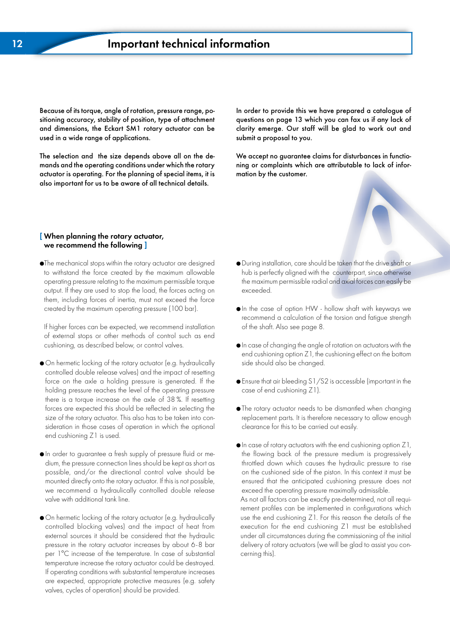Because of its torque, angle of rotation, pressure range, positioning accuracy, stability of position, type of attachment and dimensions, the Eckart SM1 rotary actuator can be used in a wide range of applications.

The selection and the size depends above all on the demands and the operating conditions under which the rotary actuator is operating. For the planning of special items, it is also important for us to be aware of all technical details.

questions on page 13 which you can fax us if any lack of submit a proposal to you. In order to provide this we have prepared a catalogue of clarity emerge. Our staff will be glad to work out and

We accept no guarantee claims for disturbances in functioning or complaints which are attributable to lack of information by the customer.

#### $\blacksquare$  When planning the rotary actuator, to the planning the rotary actuator,<br>we recommend the following  $\overline{a}$ we recommend the following  $\frac{1}{2}$

them, including forces of inertia, must not exceed the force created by the maximum operating pressure (100 bar). ●The mechanical stops within the rotary actuator are designed to withstand the force created by the maximum allowable operating pressure relating to the maximum permissible torque output. If they are used to stop the load, the forces acting on

If higher forces can be expected, we recommend installation n nigher iorces can be expecied, we recommend insidiation<br>of external stops or other methods of control such as end cushioning, as described below, or control valves.

- force on the axle a holding pressure is generated. If the holding pressure reaches the level of the operating pressure there is a torque increase on the axle of 38 %. If resetting forces are expected this should be reflected in selecting the size of the rotary actuator. This also has to be taken into consideration in those cases of operation in which the optional end cushioning Z1 is used. ● On hermetic locking of the rotary actuator (e.g. hydraulically controlled double release valves) and the impact of resetting
- $\bullet$  In order to guarantee a fresh supply of pressure fluid or mevalve with additional tank line. dium, the pressure connection lines should be kept as short as possible, and/or the directional control valve should be mounted directly onto the rotary actuator. If this is not possible, we recommend a hydraulically controlled double release
- $\bullet$  On hermetic locking of the rotary actuator (e.g. hydraulically controlled blocking valves) and the impact of heat from external sources it should be considered that the hydraulic pressure in the rotary actuator increases by about 6-8 bar per 1°C increase of the temperature. In case of substantial temperature increase the rotary actuator could be destroyed. If operating conditions with substantial temperature increases are expected, appropriate protective measures (e.g. safety valves, cycles of operation) should be provided.
- During installation, care should be taken that the drive shaft or hub is perfectly aligned with the counterpart, since otherwise the maximum permissible radial and axial forces can easily be exceeded.
- In the case of option HW hollow shaft with keyways we recommend a calculation of the torsion and fatigue strength of the shaft. Also see page 8.
- In case of changing the angle of rotation on actuators with the end cushioning option Z1, the cushioning effect on the bottom side should also be changed.
- Ensure that air bleeding S1/S2 is accessible (important in the case of end cushioning Z1).
- The rotary actuator needs to be dismantled when changing replacement parts. It is therefore necessary to allow enough clearance for this to be carried out easily.
- In case of rotary actuators with the end cushioning option Z1, the flowing back of the pressure medium is progressively throttled down which causes the hydraulic pressure to rise on the cushioned side of the piston. In this context it must be ensured that the anticipated cushioning pressure does not exceed the operating pressure maximally admissible. As not all factors can be exactly pre-determined, not all requi-

under an chcumsiances aunity me commissioning or me ininar<br>delivery of rotary actuators (we will be glad to assist you con- $\frac{1}{2}$  this  $\frac{1}{2}$  this during during during during during during during during during during during during during during during during during during during during during during during during during during during du Langzeitnitrieren rement profiles can be implemented in configurations which use the end cushioning Z1. For this reason the details of the execution for the end cushioning Z1 must be established under all circumstances during the commissioning of the initial cerning this).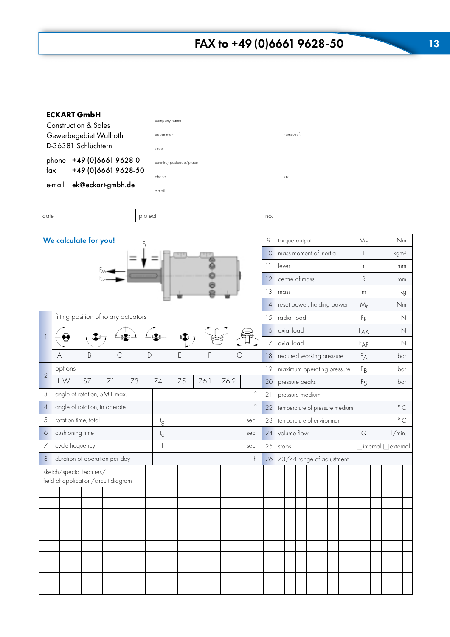| <b>ECKART GmbH</b><br>Construction & Sales                           |                     | company name           |  |      |  |      |    |                           |         |              |                                                                   |                            |  |       |  |     |                                |  |                                 |  |             |                  |              |  |
|----------------------------------------------------------------------|---------------------|------------------------|--|------|--|------|----|---------------------------|---------|--------------|-------------------------------------------------------------------|----------------------------|--|-------|--|-----|--------------------------------|--|---------------------------------|--|-------------|------------------|--------------|--|
| Gewerbegebiet Wallroth                                               | department          |                        |  |      |  |      |    |                           |         |              |                                                                   | name/ref.                  |  |       |  |     |                                |  |                                 |  |             |                  |              |  |
| D-36381 Schlüchtern                                                  | street              |                        |  |      |  |      |    |                           |         |              |                                                                   |                            |  |       |  |     |                                |  |                                 |  |             |                  |              |  |
| phone +49 (0) 6661 9628-0<br>+49 (0) 6661 9628-50<br>fax             |                     | country/postcode/place |  |      |  |      |    |                           |         |              |                                                                   |                            |  |       |  |     |                                |  |                                 |  |             |                  |              |  |
|                                                                      | phone               |                        |  |      |  |      |    |                           |         | fax          |                                                                   |                            |  |       |  |     |                                |  |                                 |  |             |                  |              |  |
| ek@eckart-gmbh.de<br>e-mail                                          | e-mail              |                        |  |      |  |      |    |                           |         |              |                                                                   |                            |  |       |  |     |                                |  |                                 |  |             |                  |              |  |
| date                                                                 | project             |                        |  |      |  |      |    |                           |         | no.          |                                                                   |                            |  |       |  |     |                                |  |                                 |  |             |                  |              |  |
|                                                                      |                     |                        |  |      |  |      |    |                           |         |              |                                                                   |                            |  |       |  |     |                                |  |                                 |  |             |                  |              |  |
| We calculate for you!<br>F,                                          |                     |                        |  |      |  |      |    |                           |         | 9            |                                                                   | torque output              |  |       |  |     |                                |  | $M_d$                           |  |             |                  | Nm           |  |
|                                                                      |                     |                        |  |      |  |      |    |                           |         | 10           |                                                                   | mass moment of inertia     |  |       |  |     |                                |  |                                 |  |             | kgm <sup>2</sup> |              |  |
|                                                                      |                     |                        |  |      |  |      |    |                           |         | $\mathbf{1}$ | lever                                                             |                            |  |       |  |     |                                |  | $\mathsf{r}$                    |  |             |                  | mm           |  |
|                                                                      |                     |                        |  |      |  |      |    |                           |         | 12           |                                                                   | centre of mass             |  |       |  |     |                                |  | ${\mathsf R}$                   |  |             |                  | mm           |  |
|                                                                      |                     |                        |  |      |  |      |    |                           |         | 13<br>14     |                                                                   | mass                       |  |       |  |     |                                |  | ${\sf m}$<br>$M_r$              |  |             | kg<br>Nm         |              |  |
| fitting position of rotary actuators                                 |                     |                        |  |      |  |      |    |                           |         | 15           | reset power, holding power<br>radial load<br>$F_R$<br>$\mathbb N$ |                            |  |       |  |     |                                |  |                                 |  |             |                  |              |  |
|                                                                      |                     |                        |  |      |  |      |    |                           |         | 16           |                                                                   | axial load                 |  |       |  |     |                                |  | FAA                             |  | $\mathbb N$ |                  |              |  |
| ❤<br>IX)                                                             | $L_{\rm f}(\Sigma)$ | e 4                    |  |      |  |      |    |                           |         | 17           | axial load                                                        |                            |  |       |  |     | FAE                            |  | $\mathbb N$                     |  |             |                  |              |  |
| $\mathsf{C}$<br>$\mathsf B$<br>A                                     | D                   | E<br>F<br>G            |  |      |  |      | 18 | required working pressure |         |              |                                                                   |                            |  | $P_A$ |  | bar |                                |  |                                 |  |             |                  |              |  |
| options                                                              |                     |                        |  |      |  |      |    |                           |         | 19           | $P_B$<br>maximum operating pressure<br>bar                        |                            |  |       |  |     |                                |  |                                 |  |             |                  |              |  |
| $\overline{2}$<br>SZ<br>Z1<br>Z3<br><b>HW</b>                        | Z4                  | Z <sub>5</sub>         |  | Z6.1 |  | Z6.2 |    |                           |         | 20           | P <sub>S</sub><br>pressure peaks                                  |                            |  |       |  |     | bar                            |  |                                 |  |             |                  |              |  |
| 3<br>angle of rotation, SM1 max.                                     |                     |                        |  |      |  |      |    |                           | $\circ$ | 21           |                                                                   | pressure medium            |  |       |  |     |                                |  |                                 |  |             |                  |              |  |
| angle of rotation, in operate<br>$\overline{4}$                      |                     |                        |  |      |  |      |    |                           | $\circ$ | 22           |                                                                   |                            |  |       |  |     | temperature of pressure medium |  |                                 |  |             |                  | $^{\circ}$ C |  |
| $\sqrt{5}$<br>rotation time, total                                   | †g                  |                        |  |      |  |      |    | sec.                      |         | 23           |                                                                   | temperature of environment |  |       |  |     |                                |  |                                 |  |             |                  | $^{\circ}$ C |  |
| $\sigma$<br>cushioning time                                          | tď                  |                        |  |      |  |      |    | sec.                      |         | 24           |                                                                   | volume flow                |  |       |  |     |                                |  | $\mathsf{Q}$                    |  |             | l/min.           |              |  |
| cycle frequency<br>7                                                 | $\overline{1}$      |                        |  |      |  |      |    | sec.                      |         | 25           |                                                                   | stops                      |  |       |  |     |                                |  | $\Box$ internal $\Box$ external |  |             |                  |              |  |
| duration of operation per day<br>$\,8\,$<br>sketch/special features/ |                     |                        |  |      |  |      |    |                           | h       | 26           |                                                                   |                            |  |       |  |     | Z3/Z4 range of adjustment      |  |                                 |  |             |                  |              |  |
| field of application/circuit diagram                                 |                     |                        |  |      |  |      |    |                           |         |              |                                                                   |                            |  |       |  |     |                                |  |                                 |  |             |                  |              |  |
|                                                                      |                     |                        |  |      |  |      |    |                           |         |              |                                                                   |                            |  |       |  |     |                                |  |                                 |  |             |                  |              |  |
|                                                                      |                     |                        |  |      |  |      |    |                           |         |              |                                                                   |                            |  |       |  |     |                                |  |                                 |  |             |                  |              |  |
|                                                                      |                     |                        |  |      |  |      |    |                           |         |              |                                                                   |                            |  |       |  |     |                                |  |                                 |  |             |                  |              |  |
|                                                                      |                     |                        |  |      |  |      |    |                           |         |              |                                                                   |                            |  |       |  |     |                                |  |                                 |  |             |                  |              |  |
|                                                                      |                     |                        |  |      |  |      |    |                           |         |              |                                                                   |                            |  |       |  |     |                                |  |                                 |  |             |                  |              |  |
|                                                                      |                     |                        |  |      |  |      |    |                           |         |              |                                                                   |                            |  |       |  |     |                                |  |                                 |  |             |                  |              |  |
|                                                                      |                     |                        |  |      |  |      |    |                           |         |              |                                                                   |                            |  |       |  |     |                                |  |                                 |  |             |                  |              |  |
|                                                                      |                     |                        |  |      |  |      |    |                           |         |              |                                                                   |                            |  |       |  |     |                                |  |                                 |  |             |                  |              |  |